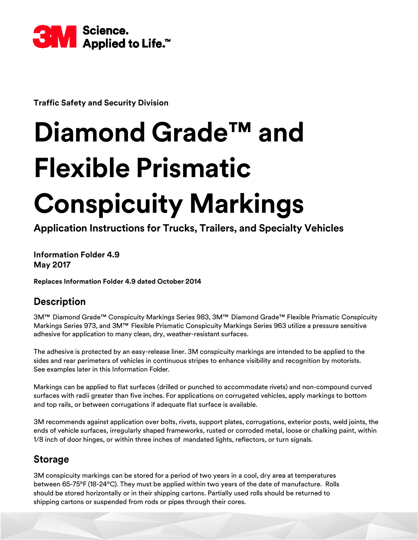

**Traffic Safety and Security Division**

# **Diamond Grade™ and Flexible Prismatic Conspicuity Markings**

**Application Instructions for Trucks, Trailers, and Specialty Vehicles**

**Information Folder 4.9 May 2017**

**Replaces Information Folder 4.9 dated October 2014**

# **Description**

3M™ Diamond Grade™ Conspicuity Markings Series 983, 3M™ Diamond Grade™ Flexible Prismatic Conspicuity Markings Series 973, and 3M™ Flexible Prismatic Conspicuity Markings Series 963 utilize a pressure sensitive adhesive for application to many clean, dry, weather-resistant surfaces.

The adhesive is protected by an easy-release liner. 3M conspicuity markings are intended to be applied to the sides and rear perimeters of vehicles in continuous stripes to enhance visibility and recognition by motorists. See examples later in this Information Folder.

Markings can be applied to flat surfaces (drilled or punched to accommodate rivets) and non-compound curved surfaces with radii greater than five inches. For applications on corrugated vehicles, apply markings to bottom and top rails, or between corrugations if adequate flat surface is available.

3M recommends against application over bolts, rivets, support plates, corrugations, exterior posts, weld joints, the ends of vehicle surfaces, irregularly shaped frameworks, rusted or corroded metal, loose or chalking paint, within 1/8 inch of door hinges, or within three inches of mandated lights, reflectors, or turn signals.

# **Storage**

3M conspicuity markings can be stored for a period of two years in a cool, dry area at temperatures between 65-75ºF (18-24ºC). They must be applied within two years of the date of manufacture. Rolls should be stored horizontally or in their shipping cartons. Partially used rolls should be returned to shipping cartons or suspended from rods or pipes through their cores.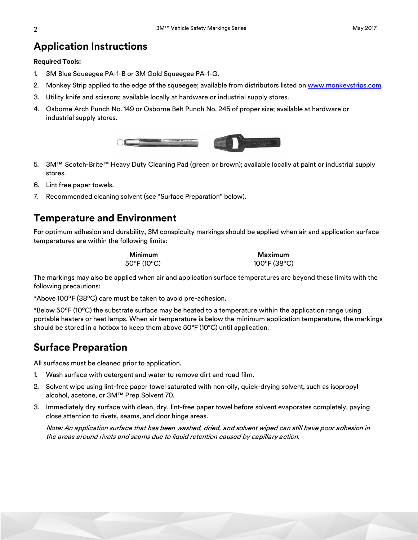### **Application Instructions**

#### **Required Tools:**

- 1. 3M Blue Squeegee PA-1-B or 3M Gold Squeegee PA-1-G.
- 2. Monkey Strip applied to the edge of the squeegee; available from distributors listed on [www.monkeystrips.com.](http://www.monkeystrips.com/)
- 3. Utility knife and scissors; available locally at hardware or industrial supply stores.
- 4. Osborne Arch Punch No. 149 or Osborne Belt Punch No. 245 of proper size; available at hardware or industrial supply stores.



- 5. 3M™ Scotch-Brite™ Heavy Duty Cleaning Pad (green or brown); available locally at paint or industrial supply stores.
- 6. Lint free paper towels.
- 7. Recommended cleaning solvent (see "Surface Preparation" below).

## **Temperature and Environment**

For optimum adhesion and durability, 3M conspicuity markings should be applied when air and application surface temperatures are within the following limits:

**Minimum Maximum**

50°F (10°C) 100°F (38°C)

The markings may also be applied when air and application surface temperatures are beyond these limits with the following precautions:

\*Above 100ºF (38ºC) care must be taken to avoid pre-adhesion.

\*Below 50ºF (10ºC) the substrate surface may be heated to a temperature within the application range using portable heaters or heat lamps. When air temperature is below the minimum application temperature, the markings should be stored in a hotbox to keep them above 50°F (10°C) until application.

# **Surface Preparation**

All surfaces must be cleaned prior to application.

- 1. Wash surface with detergent and water to remove dirt and road film.
- 2. Solvent wipe using lint-free paper towel saturated with non-oily, quick-drying solvent, such as isopropyl alcohol, acetone, or 3M™ Prep Solvent 70.
- 3. Immediately dry surface with clean, dry, lint-free paper towel before solvent evaporates completely, paying close attention to rivets, seams, and door hinge areas.

Note: An application surface that has been washed, dried, and solvent wiped can still have poor adhesion in the areas around rivets and seams due to liquid retention caused by capillary action.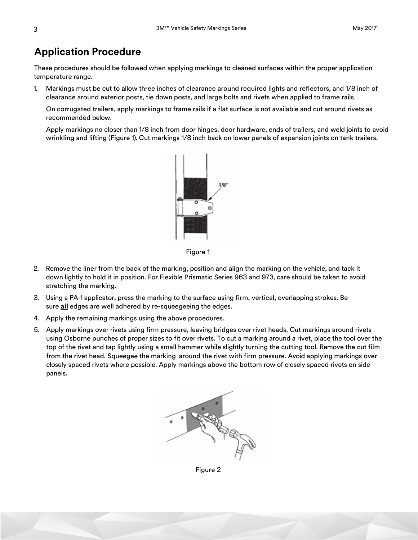# **Application Procedure**

These procedures should be followed when applying markings to cleaned surfaces within the proper application temperature range.

1. Markings must be cut to allow three inches of clearance around required lights and reflectors, and 1/8 inch of clearance around exterior posts, tie down posts, and large bolts and rivets when applied to frame rails.

On corrugated trailers, apply markings to frame rails if a flat surface is not available and cut around rivets as recommended below.

Apply markings no closer than 1/8 inch from door hinges, door hardware, ends of trailers, and weld joints to avoid wrinkling and lifting (Figure 1). Cut markings 1/8 inch back on lower panels of expansion joints on tank trailers.



Figure 1

- 2. Remove the liner from the back of the marking, position and align the marking on the vehicle, and tack it down lightly to hold it in position. For Flexible Prismatic Series 963 and 973, care should be taken to avoid stretching the marking.
- 3. Using a PA-1 applicator, press the marking to the surface using firm, vertical, overlapping strokes. Be sure **all** edges are well adhered by re-squeegeeing the edges.
- 4. Apply the remaining markings using the above procedures.
- 5. Apply markings over rivets using firm pressure, leaving bridges over rivet heads. Cut markings around rivets using Osborne punches of proper sizes to fit over rivets. To cut a marking around a rivet, place the tool over the top of the rivet and tap lightly using a small hammer while slightly turning the cutting tool. Remove the cut film from the rivet head. Squeegee the marking around the rivet with firm pressure. Avoid applying markings over closely spaced rivets where possible. Apply markings above the bottom row of closely spaced rivets on side panels.



Figure 2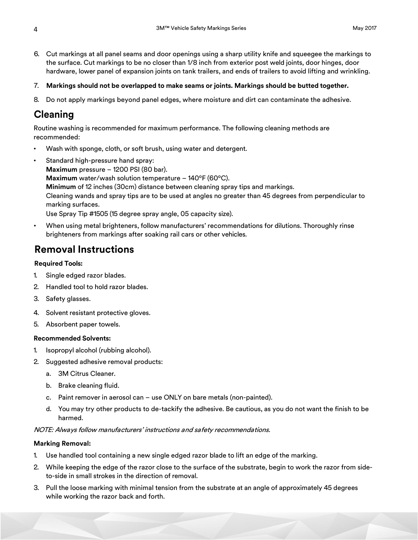- 6. Cut markings at all panel seams and door openings using a sharp utility knife and squeegee the markings to the surface. Cut markings to be no closer than 1/8 inch from exterior post weld joints, door hinges, door hardware, lower panel of expansion joints on tank trailers, and ends of trailers to avoid lifting and wrinkling.
- 7. **Markings should not be overlapped to make seams or joints. Markings should be butted together.**
- 8. Do not apply markings beyond panel edges, where moisture and dirt can contaminate the adhesive.

## **Cleaning**

Routine washing is recommended for maximum performance. The following cleaning methods are recommended:

- Wash with sponge, cloth, or soft brush, using water and detergent.
- Standard high-pressure hand spray: **Maximum** pressure – 1200 PSI (80 bar). **Maximum** water/wash solution temperature – 140ºF (60ºC). **Minimum** of 12 inches (30cm) distance between cleaning spray tips and markings. Cleaning wands and spray tips are to be used at angles no greater than 45 degrees from perpendicular to marking surfaces. Use Spray Tip #1505 (15 degree spray angle, 05 capacity size).
- When using metal brighteners, follow manufacturers' recommendations for dilutions. Thoroughly rinse brighteners from markings after soaking rail cars or other vehicles.

## **Removal Instructions**

#### **Required Tools:**

- 1. Single edged razor blades.
- 2. Handled tool to hold razor blades.
- 3. Safety glasses.
- 4. Solvent resistant protective gloves.
- 5. Absorbent paper towels.

#### **Recommended Solvents:**

- 1. Isopropyl alcohol (rubbing alcohol).
- 2. Suggested adhesive removal products:
	- a. 3M Citrus Cleaner.
	- b. Brake cleaning fluid.
	- c. Paint remover in aerosol can use ONLY on bare metals (non-painted).
	- d. You may try other products to de-tackify the adhesive. Be cautious, as you do not want the finish to be harmed.

NOTE: Always follow manufacturers' instructions and safety recommendations.

#### **Marking Removal:**

- 1. Use handled tool containing a new single edged razor blade to lift an edge of the marking.
- 2. While keeping the edge of the razor close to the surface of the substrate, begin to work the razor from sideto-side in small strokes in the direction of removal.
- 3. Pull the loose marking with minimal tension from the substrate at an angle of approximately 45 degrees while working the razor back and forth.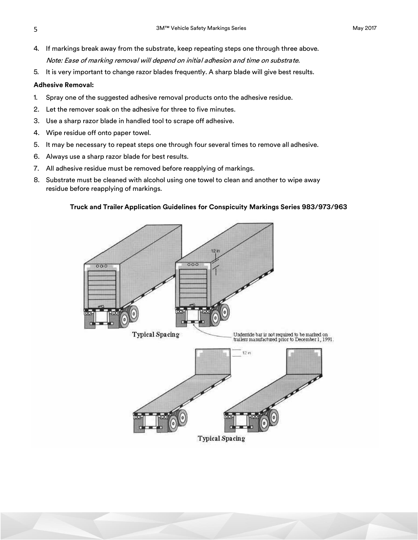- 4. If markings break away from the substrate, keep repeating steps one through three above. Note: Ease of marking removal will depend on initial adhesion and time on substrate.
- 5. It is very important to change razor blades frequently. A sharp blade will give best results.

#### **Adhesive Removal:**

- 1. Spray one of the suggested adhesive removal products onto the adhesive residue.
- 2. Let the remover soak on the adhesive for three to five minutes.
- 3. Use a sharp razor blade in handled tool to scrape off adhesive.
- 4. Wipe residue off onto paper towel.
- 5. It may be necessary to repeat steps one through four several times to remove all adhesive.
- 6. Always use a sharp razor blade for best results.
- 7. All adhesive residue must be removed before reapplying of markings.
- 8. Substrate must be cleaned with alcohol using one towel to clean and another to wipe away residue before reapplying of markings.

#### **Truck and Trailer Application Guidelines for Conspicuity Markings Series 983/973/963**

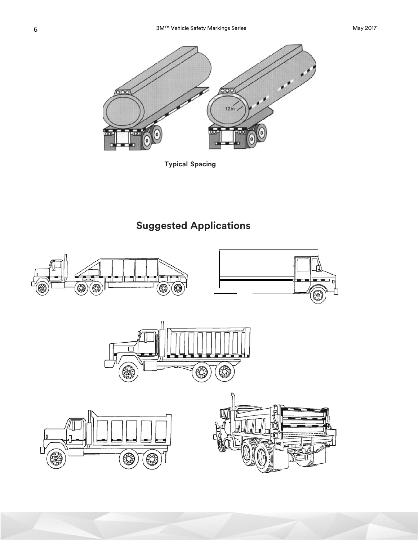

**Typical Spacing**

# **Suggested Applications**